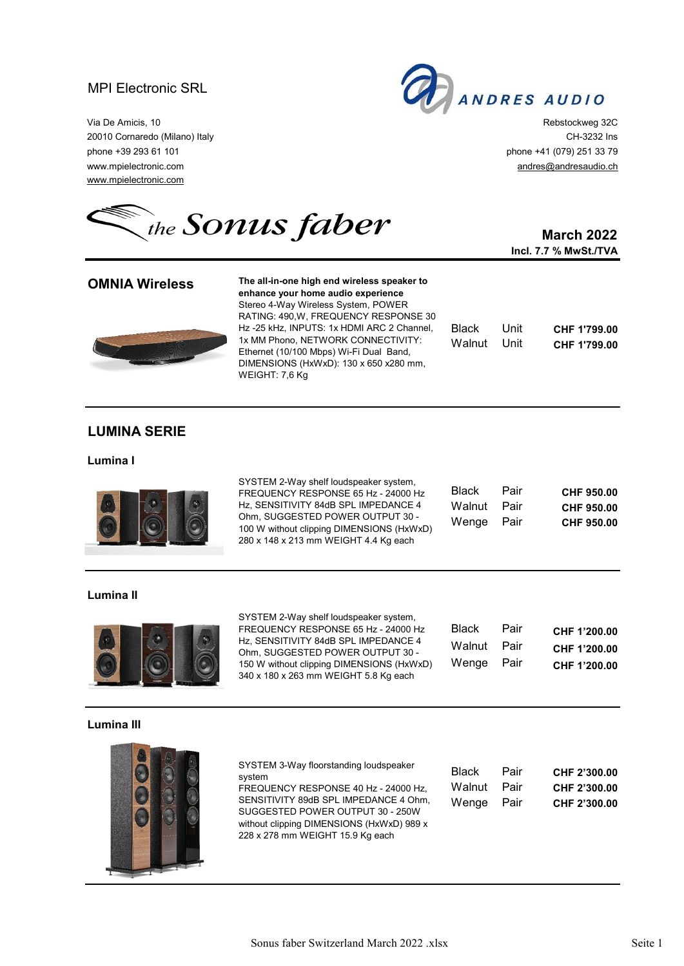# MPI Electronic SRL



via De Amicis, 10 **Rebstockweg 32C** 20010 Cornaredo (Milano) Italy CH-3232 Ins phone +39 293 61 101 phone +41 (079) 251 33 79 www.mpielectronic.com andres@andresaudio.ch com andresaudio.ch com andresaudio.ch com andresaudio.ch www.mpielectronic.com

the **SONUS faber** 

## **March 2022 Incl. 7.7 % MwSt./TVA**

| <b>OMNIA Wireless</b> | The all-in-one high end wireless speaker to<br>enhance your home audio experience<br>Stereo 4-Way Wireless System, POWER                                                                                                       |                        |              |                              |
|-----------------------|--------------------------------------------------------------------------------------------------------------------------------------------------------------------------------------------------------------------------------|------------------------|--------------|------------------------------|
|                       | RATING: 490.W. FREQUENCY RESPONSE 30<br>Hz-25 kHz, INPUTS: 1x HDMI ARC 2 Channel,<br>1x MM Phono, NETWORK CONNECTIVITY:<br>Ethernet (10/100 Mbps) Wi-Fi Dual Band,<br>DIMENSIONS (HxWxD): 130 x 650 x280 mm,<br>WEIGHT: 7.6 Kg | <b>Black</b><br>Walnut | Unit<br>Unit | CHF 1'799.00<br>CHF 1'799.00 |

## **LUMINA SERIE**

#### **Lumina I**



SYSTEM 2-Way shelf loudspeaker system, FREQUENCY RESPONSE 65 Hz - 24000 Hz Hz, SENSITIVITY 84dB SPL IMPEDANCE 4 Ohm, SUGGESTED POWER OUTPUT 30 - 100 W without clipping DIMENSIONS (HxWxD) 280 x 148 x 213 mm WEIGHT 4.4 Kg each

| Black  | Pair | CHF 950.00 |
|--------|------|------------|
| Walnut | Pair | CHF 950.00 |
| Wenge  | Pair | CHF 950.00 |

## **Lumina II**



SYSTEM 2-Way shelf loudspeaker system, FREQUENCY RESPONSE 65 Hz - 24000 Hz Hz, SENSITIVITY 84dB SPL IMPEDANCE 4 Ohm, SUGGESTED POWER OUTPUT 30 - 150 W without clipping DIMENSIONS (HxWxD) 340 x 180 x 263 mm WEIGHT 5.8 Kg each

| Black  | Pair | CHF 1'200.00 |
|--------|------|--------------|
| Walnut | Pair | CHF 1'200.00 |
| Wenge  | Pair | CHF 1'200.00 |

### **Lumina III**



SYSTEM 3-Way floorstanding loudspeaker system

FREQUENCY RESPONSE 40 Hz - 24000 Hz, SENSITIVITY 89dB SPL IMPEDANCE 4 Ohm. SUGGESTED POWER OUTPUT 30 - 250W without clipping DIMENSIONS (HxWxD) 989 x 228 x 278 mm WEIGHT 15.9 Kg each

| Black  | Pair | CHF 2'300.00 |
|--------|------|--------------|
| Walnut | Pair | CHF 2'300.00 |
| Wenge  | Pair | CHF 2'300.00 |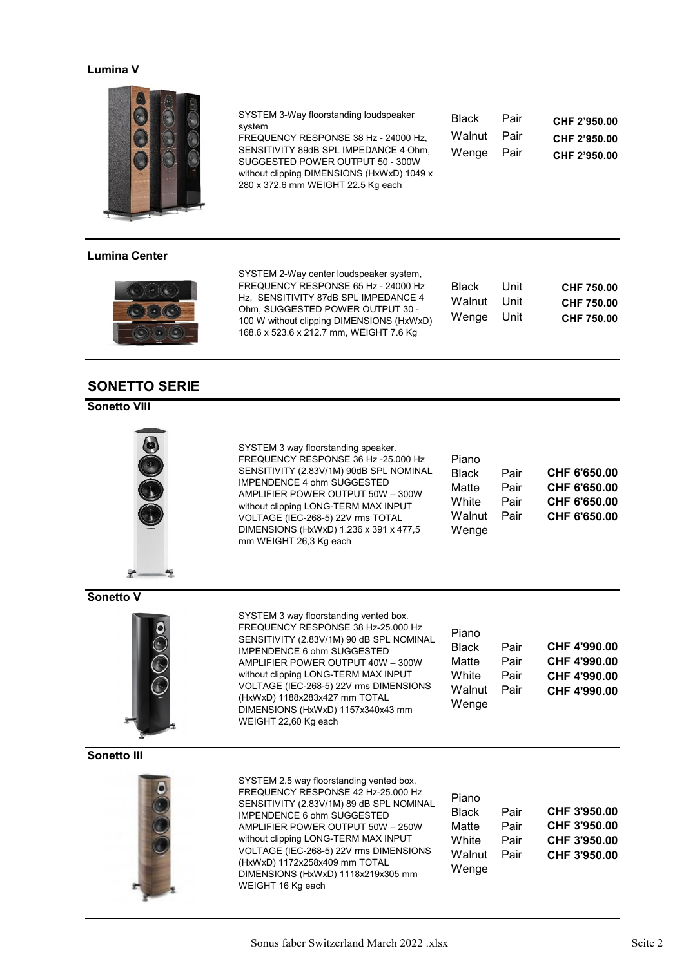## **Lumina V**



### **Lumina Center**



## **SONETTO SERIE**

## **Sonetto VIII**



SYSTEM 3 way floorstanding speaker. FREQUENCY RESPONSE 36 Hz -25.000 Hz SENSITIVITY (2.83V/1M) 90dB SPL NOMINAL IMPENDENCE 4 ohm SUGGESTED AMPLIFIER POWER OUTPUT 50W – 300W without clipping LONG-TERM MAX INPUT VOLTAGE (IEC-268-5) 22V rms TOTAL DIMENSIONS (HxWxD) 1.236 x 391 x 477,5 mm WEIGHT 26,3 Kg each

SYSTEM 2-Way center loudspeaker system, FREQUENCY RESPONSE 65 Hz - 24000 Hz Hz. SENSITIVITY 87dB SPL IMPEDANCE 4 Ohm, SUGGESTED POWER OUTPUT 30 - 100 W without clipping DIMENSIONS (HxWxD) 168.6 x 523.6 x 212.7 mm, WEIGHT 7.6 Kg

SYSTEM 3-Way floorstanding loudspeaker

FREQUENCY RESPONSE 38 Hz - 24000 Hz, SENSITIVITY 89dB SPL IMPEDANCE 4 Ohm, SUGGESTED POWER OUTPUT 50 - 300W without clipping DIMENSIONS (HxWxD) 1049 x 280 x 372.6 mm WEIGHT 22.5 Kg each

system

| Piano        |      |              |
|--------------|------|--------------|
| <b>Black</b> | Pair | CHF 6'650.00 |
| Matte        | Pair | CHF 6'650.00 |
| White        | Pair | CHF 6'650.00 |
| Walnut       | Pair | CHF 6'650.00 |
| Wenge        |      |              |

Black Pair **CHF 2'950.00** Walnut Pair **CHF 2'950.00** Wenge Pair **CHF 2'950.00**

Black Unit **CHF 750.00** Walnut Unit **CHF 750.00** Wenge Unit **CHF 750.00**

#### **Sonetto V**



SYSTEM 3 way floorstanding vented box. FREQUENCY RESPONSE 38 Hz-25.000 Hz SENSITIVITY (2.83V/1M) 90 dB SPL NOMINAL IMPENDENCE 6 ohm SUGGESTED AMPLIFIER POWER OUTPUT 40W – 300W without clipping LONG-TERM MAX INPUT VOLTAGE (IEC-268-5) 22V rms DIMENSIONS (HxWxD) 1188x283x427 mm TOTAL DIMENSIONS (HxWxD) 1157x340x43 mm WEIGHT 22,60 Kg each

| Piano  |      |              |
|--------|------|--------------|
| Black  | Pair | CHF 4'990.00 |
| Matte  | Pair | CHF 4'990.00 |
| White  | Pair | CHF 4'990.00 |
| Walnut | Pair | CHF 4'990.00 |
| Wenge  |      |              |

### **Sonetto III**



SYSTEM 2.5 way floorstanding vented box. FREQUENCY RESPONSE 42 Hz-25.000 Hz SENSITIVITY (2.83V/1M) 89 dB SPL NOMINAL IMPENDENCE 6 ohm SUGGESTED AMPLIFIER POWER OUTPUT 50W – 250W without clipping LONG-TERM MAX INPUT VOLTAGE (IEC-268-5) 22V rms DIMENSIONS (HxWxD) 1172x258x409 mm TOTAL DIMENSIONS (HxWxD) 1118x219x305 mm WEIGHT 16 Kg each

| Piano  |      |              |
|--------|------|--------------|
| Black  | Pair | CHF 3'950.00 |
| Matte  | Pair | CHF 3'950.00 |
| White  | Pair | CHF 3'950.00 |
| Walnut | Pair | CHF 3'950.00 |
| Wenge  |      |              |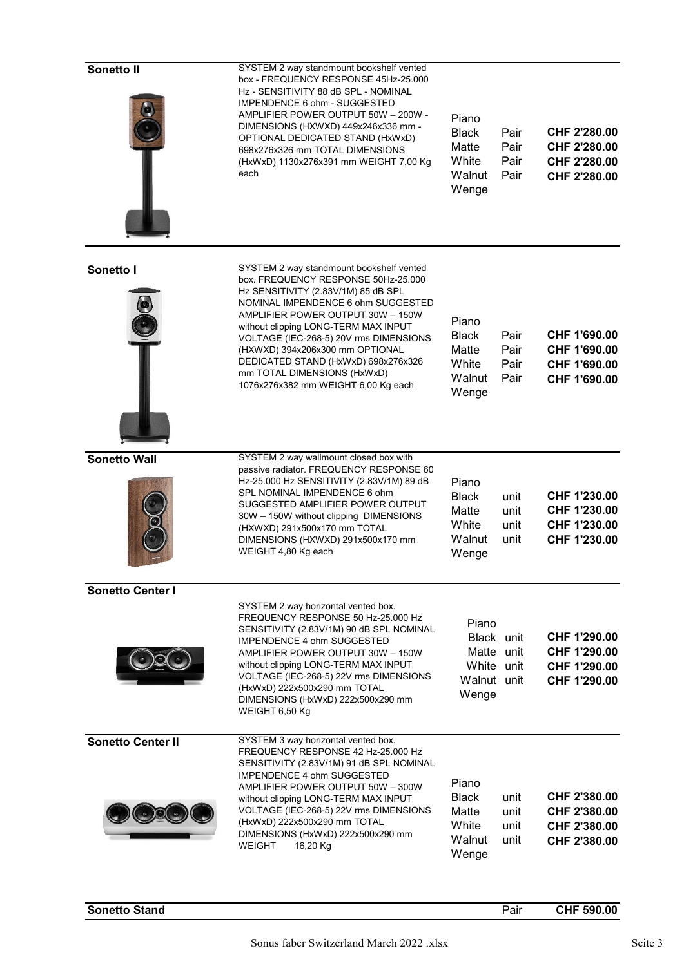| Sonetto II               | SYSTEM 2 way standmount bookshelf vented<br>box - FREQUENCY RESPONSE 45Hz-25.000<br>Hz - SENSITIVITY 88 dB SPL - NOMINAL<br>IMPENDENCE 6 ohm - SUGGESTED<br>AMPLIFIER POWER OUTPUT 50W - 200W -<br>DIMENSIONS (HXWXD) 449x246x336 mm -<br>OPTIONAL DEDICATED STAND (HxWxD)<br>698x276x326 mm TOTAL DIMENSIONS<br>(HxWxD) 1130x276x391 mm WEIGHT 7,00 Kg<br>each                                                                     | Piano<br><b>Black</b><br>Matte<br>White<br>Walnut<br>Wenge              | Pair<br>Pair<br>Pair<br>Pair | CHF 2'280.00<br>CHF 2'280.00<br>CHF 2'280.00<br>CHF 2'280.00 |
|--------------------------|-------------------------------------------------------------------------------------------------------------------------------------------------------------------------------------------------------------------------------------------------------------------------------------------------------------------------------------------------------------------------------------------------------------------------------------|-------------------------------------------------------------------------|------------------------------|--------------------------------------------------------------|
| Sonetto I                | SYSTEM 2 way standmount bookshelf vented<br>box. FREQUENCY RESPONSE 50Hz-25.000<br>Hz SENSITIVITY (2.83V/1M) 85 dB SPL<br>NOMINAL IMPENDENCE 6 ohm SUGGESTED<br>AMPLIFIER POWER OUTPUT 30W - 150W<br>without clipping LONG-TERM MAX INPUT<br>VOLTAGE (IEC-268-5) 20V rms DIMENSIONS<br>(HXWXD) 394x206x300 mm OPTIONAL<br>DEDICATED STAND (HxWxD) 698x276x326<br>mm TOTAL DIMENSIONS (HxWxD)<br>1076x276x382 mm WEIGHT 6,00 Kg each | Piano<br><b>Black</b><br>Matte<br>White<br>Walnut<br>Wenge              | Pair<br>Pair<br>Pair<br>Pair | CHF 1'690.00<br>CHF 1'690.00<br>CHF 1'690.00<br>CHF 1'690.00 |
| <b>Sonetto Wall</b>      | SYSTEM 2 way wallmount closed box with<br>passive radiator. FREQUENCY RESPONSE 60<br>Hz-25.000 Hz SENSITIVITY (2.83V/1M) 89 dB<br>SPL NOMINAL IMPENDENCE 6 ohm<br>SUGGESTED AMPLIFIER POWER OUTPUT<br>30W - 150W without clipping DIMENSIONS<br>(HXWXD) 291x500x170 mm TOTAL<br>DIMENSIONS (HXWXD) 291x500x170 mm<br>WEIGHT 4,80 Kg each                                                                                            | Piano<br><b>Black</b><br>Matte<br>White<br>Walnut<br>Wenge              | unit<br>unit<br>unit<br>unit | CHF 1'230.00<br>CHF 1'230.00<br>CHF 1'230.00<br>CHF 1'230.00 |
| <b>Sonetto Center I</b>  | SYSTEM 2 way horizontal vented box.<br>FREQUENCY RESPONSE 50 Hz-25.000 Hz<br>SENSITIVITY (2.83V/1M) 90 dB SPL NOMINAL<br>IMPENDENCE 4 ohm SUGGESTED<br>AMPLIFIER POWER OUTPUT 30W - 150W<br>without clipping LONG-TERM MAX INPUT<br>VOLTAGE (IEC-268-5) 22V rms DIMENSIONS<br>(HxWxD) 222x500x290 mm TOTAL<br>DIMENSIONS (HxWxD) 222x500x290 mm<br>WEIGHT 6,50 Kg                                                                   | Piano<br>Black unit<br>Matte unit<br>White unit<br>Walnut unit<br>Wenge |                              | CHF 1'290.00<br>CHF 1'290.00<br>CHF 1'290.00<br>CHF 1'290.00 |
| <b>Sonetto Center II</b> | SYSTEM 3 way horizontal vented box.<br>FREQUENCY RESPONSE 42 Hz-25.000 Hz<br>SENSITIVITY (2.83V/1M) 91 dB SPL NOMINAL<br><b>IMPENDENCE 4 ohm SUGGESTED</b><br>AMPLIFIER POWER OUTPUT 50W - 300W<br>without clipping LONG-TERM MAX INPUT<br>VOLTAGE (IEC-268-5) 22V rms DIMENSIONS<br>(HxWxD) 222x500x290 mm TOTAL<br>DIMENSIONS (HxWxD) 222x500x290 mm<br><b>WEIGHT</b><br>16,20 Kg                                                 | Piano<br><b>Black</b><br>Matte<br>White<br>Walnut<br>Wenge              | unit<br>unit<br>unit<br>unit | CHF 2'380.00<br>CHF 2'380.00<br>CHF 2'380.00<br>CHF 2'380.00 |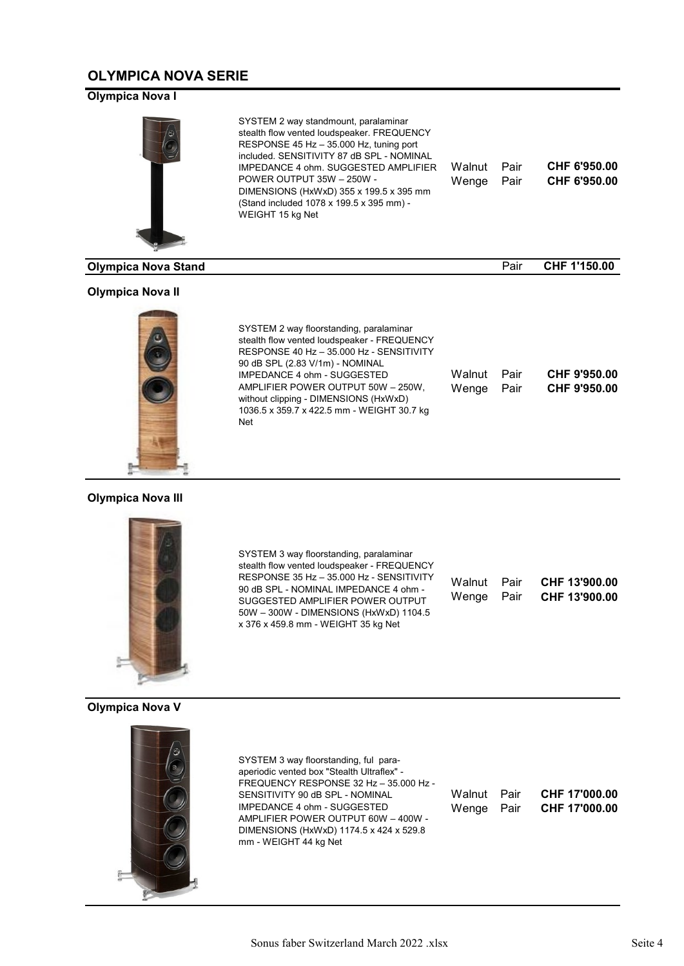## **OLYMPICA NOVA SERIE**

## **Olympica Nova I**



### **Olympica Nova II**



| Walnut | Pair | CHF 9'950.00 |
|--------|------|--------------|
| Wenge  | Pair | CHF 9'950.00 |
|        |      |              |
|        |      |              |
|        |      |              |
|        |      |              |

## **Olympica Nova III**



SYSTEM 3 way floorstanding, paralaminar stealth flow vented loudspeaker - FREQUENCY RESPONSE 35 Hz – 35.000 Hz - SENSITIVITY 90 dB SPL - NOMINAL IMPEDANCE 4 ohm - SUGGESTED AMPLIFIER POWER OUTPUT 50W – 300W - DIMENSIONS (HxWxD) 1104.5 x 376 x 459.8 mm - WEIGHT 35 kg Net

Walnut Wenge Pair Pair **CHF 13'900.00 CHF 13'900.00** 

## **Olympica Nova V**



SYSTEM 3 way floorstanding, ful paraaperiodic vented box "Stealth Ultraflex" - FREQUENCY RESPONSE 32 Hz – 35.000 Hz - SENSITIVITY 90 dB SPL - NOMINAL IMPEDANCE 4 ohm - SUGGESTED AMPLIFIER POWER OUTPUT 60W – 400W - DIMENSIONS (HxWxD) 1174.5 x 424 x 529.8 mm - WEIGHT 44 kg Net

| Walnut Pair | CHF 17'000.00 |
|-------------|---------------|
| Wenge Pair  | CHF 17'000.00 |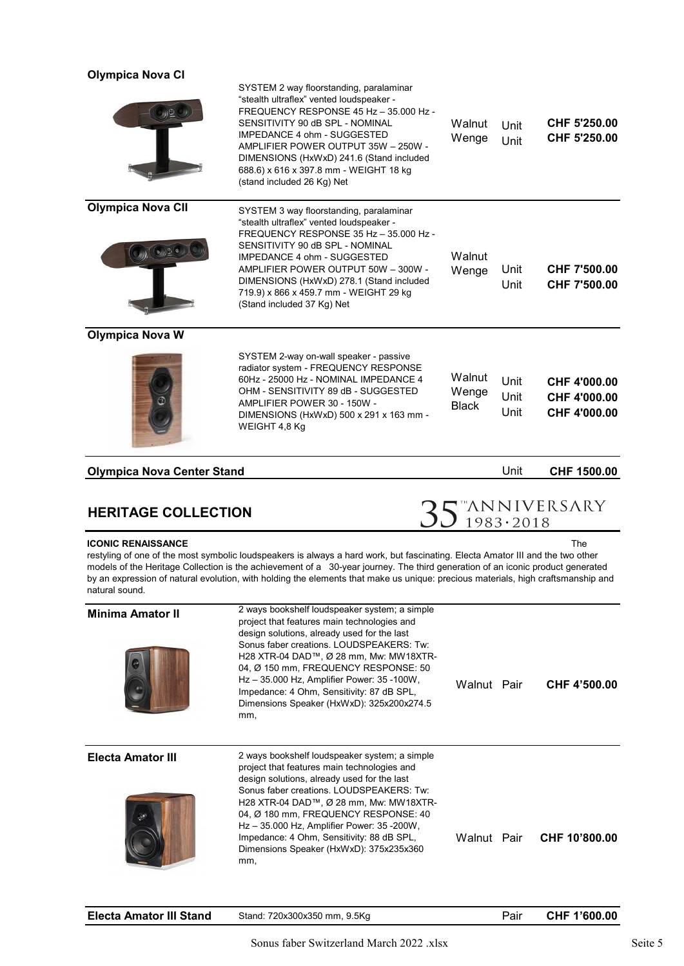# **Olympica Nova CI**

|                                                     | SYSTEM 2 way floorstanding, paralaminar<br>"stealth ultraflex" vented loudspeaker -<br>FREQUENCY RESPONSE 45 Hz - 35,000 Hz -<br>SENSITIVITY 90 dB SPL - NOMINAL<br>IMPEDANCE 4 ohm - SUGGESTED<br>AMPLIFIER POWER OUTPUT 35W - 250W -<br>DIMENSIONS (HxWxD) 241.6 (Stand included<br>688.6) x 616 x 397.8 mm - WEIGHT 18 kg<br>(stand included 26 Kg) Net                                           | Walnut<br>Wenge                 | Unit<br>Unit         | CHF 5'250.00<br>CHF 5'250.00                 |
|-----------------------------------------------------|------------------------------------------------------------------------------------------------------------------------------------------------------------------------------------------------------------------------------------------------------------------------------------------------------------------------------------------------------------------------------------------------------|---------------------------------|----------------------|----------------------------------------------|
| <b>Olympica Nova CII</b><br>$(\circ) \circ (\circ)$ | SYSTEM 3 way floorstanding, paralaminar<br>"stealth ultraflex" vented loudspeaker -<br>FREQUENCY RESPONSE 35 Hz - 35.000 Hz -<br>SENSITIVITY 90 dB SPL - NOMINAL<br>IMPEDANCE 4 ohm - SUGGESTED<br>AMPLIFIER POWER OUTPUT 50W - 300W -<br>DIMENSIONS (HxWxD) 278.1 (Stand included<br>719.9) x 866 x 459.7 mm - WEIGHT 29 kg<br>(Stand included 37 Kg) Net                                           | Walnut<br>Wenge                 | Unit<br>Unit         | CHF 7'500.00<br>CHF 7'500.00                 |
| <b>Olympica Nova W</b>                              |                                                                                                                                                                                                                                                                                                                                                                                                      |                                 |                      |                                              |
|                                                     | SYSTEM 2-way on-wall speaker - passive<br>radiator system - FREQUENCY RESPONSE<br>60Hz - 25000 Hz - NOMINAL IMPEDANCE 4<br>OHM - SENSITIVITY 89 dB - SUGGESTED<br>AMPLIFIER POWER 30 - 150W -<br>DIMENSIONS (HxWxD) 500 x 291 x 163 mm -<br>WEIGHT 4,8 Kg                                                                                                                                            | Walnut<br>Wenge<br><b>Black</b> | Unit<br>Unit<br>Unit | CHF 4'000.00<br>CHF 4'000.00<br>CHF 4'000.00 |
| <b>Olympica Nova Center Stand</b>                   |                                                                                                                                                                                                                                                                                                                                                                                                      |                                 | Unit                 | CHF 1500.00                                  |
| <b>HERITAGE COLLECTION</b>                          |                                                                                                                                                                                                                                                                                                                                                                                                      |                                 |                      | $35$ "ANNIVERSARY                            |
| <b>ICONIC RENAISSANCE</b><br>natural sound.         | restyling of one of the most symbolic loudspeakers is always a hard work, but fascinating. Electa Amator III and the two other<br>models of the Heritage Collection is the achievement of a 30-year journey. The third generation of an iconic product generated<br>by an expression of natural evolution, with holding the elements that make us unique: precious materials, high craftsmanship and |                                 |                      | The                                          |

| <b>Minima Amator II</b>  | 2 ways bookshelf loudspeaker system; a simple<br>project that features main technologies and<br>design solutions, already used for the last<br>Sonus faber creations, LOUDSPEAKERS: Tw:<br>H28 XTR-04 DAD™, Ø 28 mm, Mw: MW18XTR-<br>04, Ø 150 mm, FREQUENCY RESPONSE: 50<br>Hz - 35.000 Hz, Amplifier Power: 35 -100W,<br>Impedance: 4 Ohm, Sensitivity: 87 dB SPL,<br>Dimensions Speaker (HxWxD): 325x200x274.5<br>mm. | Walnut Pair | CHF 4'500.00  |
|--------------------------|--------------------------------------------------------------------------------------------------------------------------------------------------------------------------------------------------------------------------------------------------------------------------------------------------------------------------------------------------------------------------------------------------------------------------|-------------|---------------|
| <b>Electa Amator III</b> | 2 ways bookshelf loudspeaker system; a simple<br>project that features main technologies and<br>design solutions, already used for the last<br>Sonus faber creations   OUDSPEAKERS: Tw<br>H28 XTR-04 DAD™, Ø 28 mm, Mw: MW18XTR-<br>04, Ø 180 mm, FREQUENCY RESPONSE: 40<br>Hz - 35.000 Hz, Amplifier Power: 35 - 200W,<br>Impedance: 4 Ohm, Sensitivity: 88 dB SPL,<br>Dimensions Speaker (HxWxD): 375x235x360<br>mm,   | Walnut Pair | CHF 10'800.00 |

| <b>Electa Amator III Stand</b> | Stand: 720x300x350 mm, 9.5Kg |  | CHF 1'600.00 |
|--------------------------------|------------------------------|--|--------------|
|                                |                              |  |              |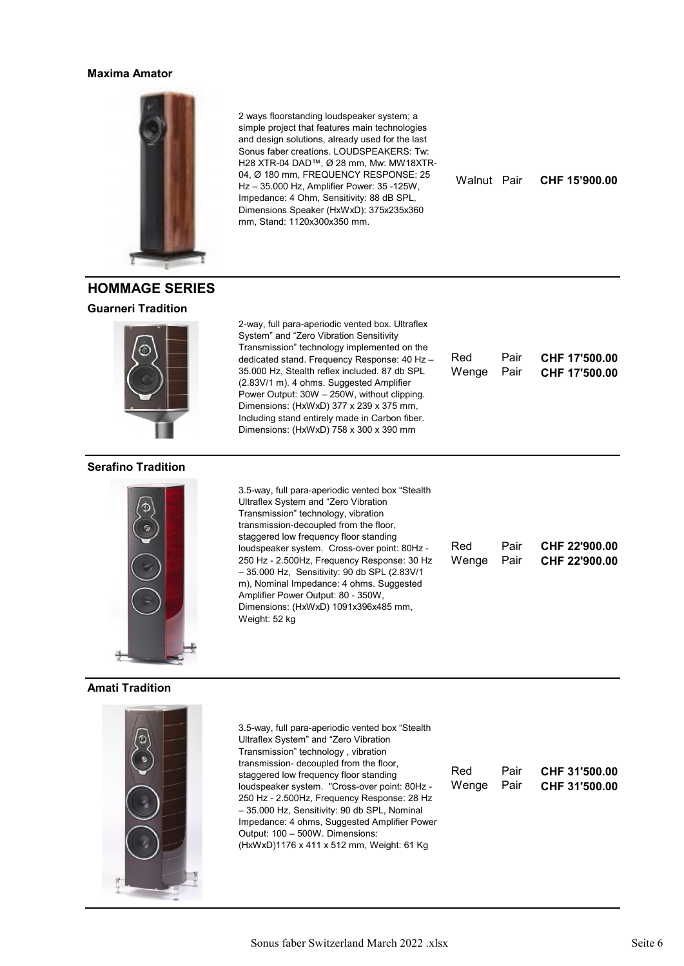#### **Maxima Amator**



**HOMMAGE SERIES**

2 ways floorstanding loudspeaker system; a simple project that features main technologies and design solutions, already used for the last Sonus faber creations. LOUDSPEAKERS: Tw: H28 XTR-04 DAD™, Ø 28 mm, Mw: MW18XTR-04, Ø 180 mm, FREQUENCY RESPONSE: 25 Hz – 35.000 Hz, Amplifier Power: 35 -125W, Impedance: 4 Ohm, Sensitivity: 88 dB SPL, Dimensions Speaker (HxWxD): 375x235x360 mm, Stand: 1120x300x350 mm.

Dimensions: (HxWxD) 758 x 300 x 390 mm

– 35.000 Hz, Sensitivity: 90 db SPL (2.83V/1 m), Nominal Impedance: 4 ohms. Suggested Amplifier Power Output: 80 - 350W, Dimensions: (HxWxD) 1091x396x485 mm,

Ultraflex System and "Zero Vibration Transmission" technology, vibration transmission-decoupled from the floor, staggered low frequency floor standing

Weight: 52 kg

Walnut Pair **CHF 15'900.00**

**CHF 17'500.00 CHF 17'500.00**

| <b>Guarneri Tradition</b> |                                                                                                                                                                                                                                                                                                                                                                                                                                     |
|---------------------------|-------------------------------------------------------------------------------------------------------------------------------------------------------------------------------------------------------------------------------------------------------------------------------------------------------------------------------------------------------------------------------------------------------------------------------------|
|                           | 2-way, full para-aperiodic vented box. Ultraflex<br>System" and "Zero Vibration Sensitivity<br>Transmission" technology implemented on the<br>dedicated stand. Frequency Response: 40 Hz -<br>35.000 Hz, Stealth reflex included. 87 db SPL<br>(2.83V/1 m). 4 ohms. Suggested Amplifier<br>Power Output: 30W - 250W, without clipping.<br>Dimensions: (HxWxD) 377 x 239 x 375 mm,<br>Including stand entirely made in Carbon fiber. |

#### **Serafino Tradition**



#### **Amati Tradition**



3.5-way, full para-aperiodic vented box "Stealth Ultraflex System" and "Zero Vibration Transmission" technology , vibration transmission- decoupled from the floor, staggered low frequency floor standing loudspeaker system. "Cross-over point: 80Hz - 250 Hz - 2.500Hz, Frequency Response: 28 Hz – 35.000 Hz, Sensitivity: 90 db SPL, Nominal Impedance: 4 ohms, Suggested Amplifier Power Output: 100 – 500W. Dimensions: (HxWxD)1176 x 411 x 512 mm, Weight: 61 Kg

| Red        | Pair <b>CHF 31'500.00</b> |
|------------|---------------------------|
| Wenge Pair | CHF 31'500.00             |

| 3.5-way, full para-aperiodic vented box "Stealth |  |
|--------------------------------------------------|--|

Pair Pair

Red Wenge

| transmission-decoupled from the floor.       |            |      |               |
|----------------------------------------------|------------|------|---------------|
| staggered low frequency floor standing       |            |      |               |
| loudspeaker system. Cross-over point: 80Hz - | Red        | Pair | CHF 22'900.00 |
| 250 Hz - 2.500Hz, Frequency Response: 30 Hz  | Wenge Pair |      | CHF 22'900.00 |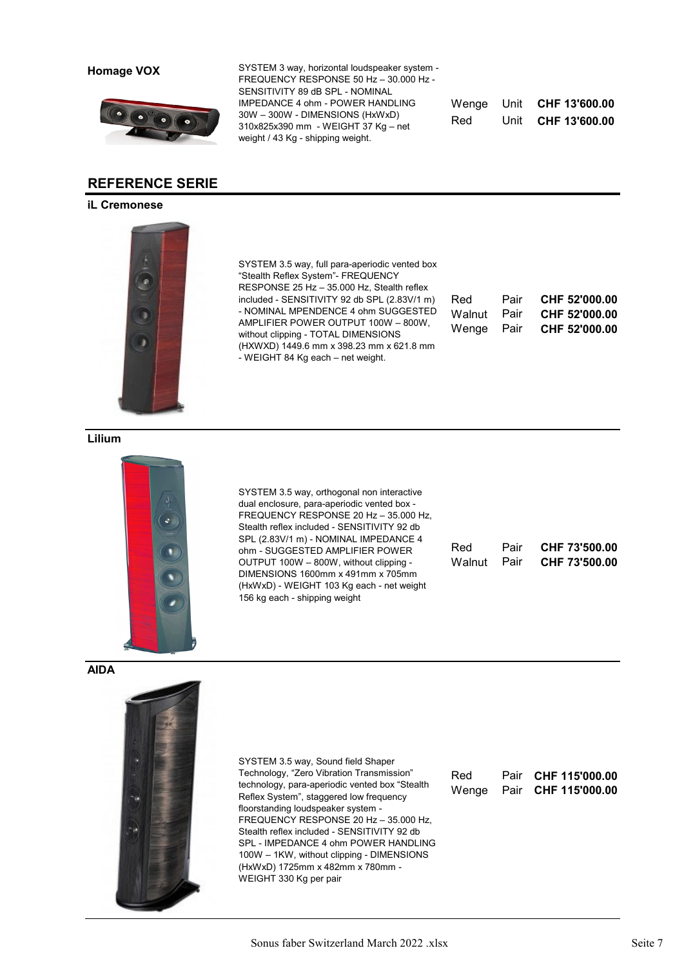**Homage VOX**



## **REFERENCE SERIE**

### **iL Cremonese**



SYSTEM 3.5 way, full para-aperiodic vented box "Stealth Reflex System"- FREQUENCY RESPONSE 25 Hz – 35.000 Hz, Stealth reflex included - SENSITIVITY 92 db SPL (2.83V/1 m) - NOMINAL MPENDENCE 4 ohm SUGGESTED AMPLIFIER POWER OUTPUT 100W – 800W, without clipping - TOTAL DIMENSIONS (HXWXD) 1449.6 mm x 398.23 mm x 621.8 mm - WEIGHT 84 Kg each – net weight.

SYSTEM 3 way, horizontal loudspeaker system - FREQUENCY RESPONSE 50 Hz – 30.000 Hz -

SENSITIVITY 89 dB SPL - NOMINAL IMPEDANCE 4 ohm - POWER HANDLING 30W – 300W - DIMENSIONS (HxWxD) 310x825x390 mm - WEIGHT 37 Kg – net

weight / 43 Kg - shipping weight.

Red Unit **CHF 13'600.00** 

Wenge Unit **CHF 13'600.00** 

| Red    | Pair | CHF 52'000.00 |
|--------|------|---------------|
| Walnut | Pair | CHF 52'000.00 |
| Wenge  | Pair | CHF 52'000.00 |

**Lilium** 



SYSTEM 3.5 way, orthogonal non interactive dual enclosure, para-aperiodic vented box - FREQUENCY RESPONSE 20 Hz – 35.000 Hz, Stealth reflex included - SENSITIVITY 92 db SPL (2.83V/1 m) - NOMINAL IMPEDANCE 4 ohm - SUGGESTED AMPLIFIER POWER OUTPUT 100W – 800W, without clipping - DIMENSIONS 1600mm x 491mm x 705mm (HxWxD) - WEIGHT 103 Kg each - net weight 156 kg each - shipping weight

| Red | Pair <b>CHF 73'500.00</b> |
|-----|---------------------------|
|     | Walnut Pair CHF 73'500.00 |

**AIDA** 



SYSTEM 3.5 way, Sound field Shaper Technology, "Zero Vibration Transmission" technology, para-aperiodic vented box "Stealth Reflex System", staggered low frequency floorstanding loudspeaker system - FREQUENCY RESPONSE 20 Hz – 35.000 Hz, Stealth reflex included - SENSITIVITY 92 db SPL - IMPEDANCE 4 ohm POWER HANDLING 100W – 1KW, without clipping - DIMENSIONS (HxWxD) 1725mm x 482mm x 780mm - WEIGHT 330 Kg per pair

| Red   | Pair CHF 115'000.00 |
|-------|---------------------|
| Wenge | Pair CHF 115'000.00 |